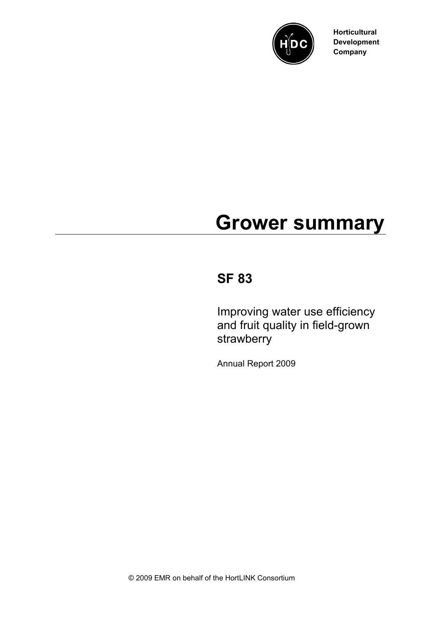

**Horticultural Development Company**

# **Grower summary**

# **SF 83**

Improving water use efficiency and fruit quality in field-grown strawberry

Annual Report 2009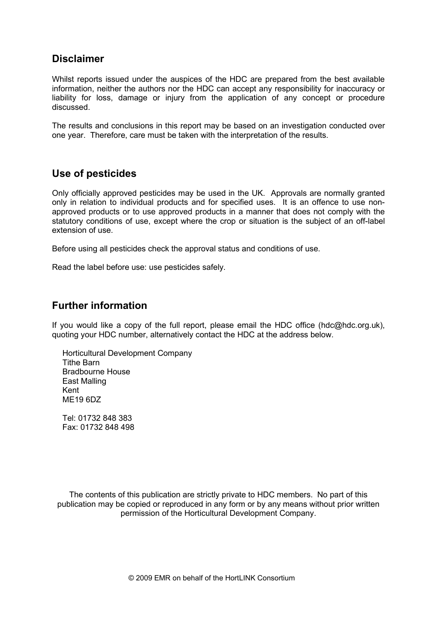#### **Disclaimer**

Whilst reports issued under the auspices of the HDC are prepared from the best available information, neither the authors nor the HDC can accept any responsibility for inaccuracy or liability for loss, damage or injury from the application of any concept or procedure discussed.

The results and conclusions in this report may be based on an investigation conducted over one year. Therefore, care must be taken with the interpretation of the results.

#### **Use of pesticides**

Only officially approved pesticides may be used in the UK. Approvals are normally granted only in relation to individual products and for specified uses. It is an offence to use nonapproved products or to use approved products in a manner that does not comply with the statutory conditions of use, except where the crop or situation is the subject of an off-label extension of use.

Before using all pesticides check the approval status and conditions of use.

Read the label before use: use pesticides safely.

#### **Further information**

If you would like a copy of the full report, please email the HDC office (hdc@hdc.org.uk), quoting your HDC number, alternatively contact the HDC at the address below.

Horticultural Development Company Tithe Barn Bradbourne House East Malling Kent ME19 6DZ

Tel: 01732 848 383 Fax: 01732 848 498

The contents of this publication are strictly private to HDC members. No part of this publication may be copied or reproduced in any form or by any means without prior written permission of the Horticultural Development Company.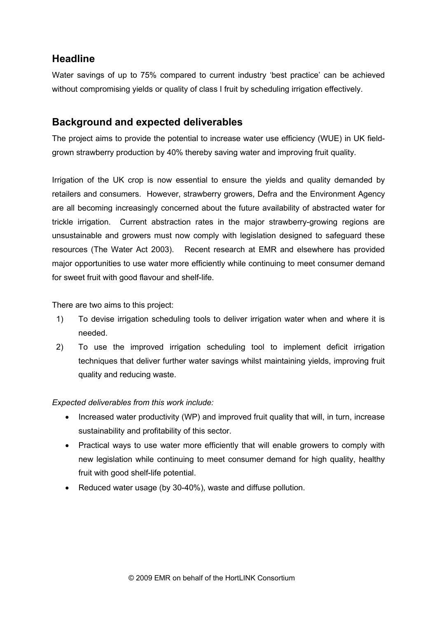#### **Headline**

Water savings of up to 75% compared to current industry 'best practice' can be achieved without compromising yields or quality of class I fruit by scheduling irrigation effectively.

### **Background and expected deliverables**

The project aims to provide the potential to increase water use efficiency (WUE) in UK fieldgrown strawberry production by 40% thereby saving water and improving fruit quality.

Irrigation of the UK crop is now essential to ensure the yields and quality demanded by retailers and consumers. However, strawberry growers, Defra and the Environment Agency are all becoming increasingly concerned about the future availability of abstracted water for trickle irrigation. Current abstraction rates in the major strawberry-growing regions are unsustainable and growers must now comply with legislation designed to safeguard these resources (The Water Act 2003). Recent research at EMR and elsewhere has provided major opportunities to use water more efficiently while continuing to meet consumer demand for sweet fruit with good flavour and shelf-life.

There are two aims to this project:

- 1) To devise irrigation scheduling tools to deliver irrigation water when and where it is needed.
- 2) To use the improved irrigation scheduling tool to implement deficit irrigation techniques that deliver further water savings whilst maintaining yields, improving fruit quality and reducing waste.

#### *Expected deliverables from this work include:*

- Increased water productivity (WP) and improved fruit quality that will, in turn, increase sustainability and profitability of this sector.
- Practical ways to use water more efficiently that will enable growers to comply with new legislation while continuing to meet consumer demand for high quality, healthy fruit with good shelf-life potential.
- Reduced water usage (by 30-40%), waste and diffuse pollution.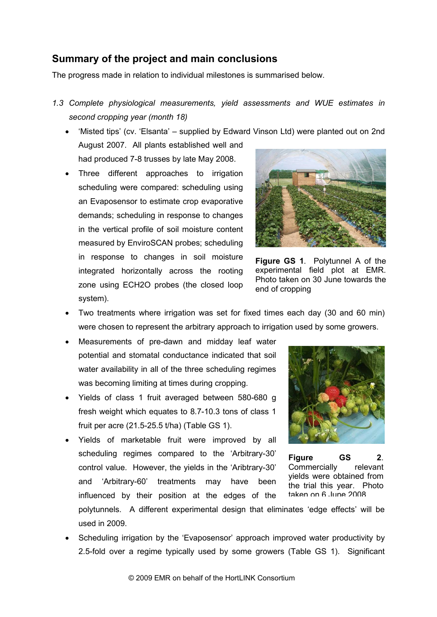#### **Summary of the project and main conclusions**

The progress made in relation to individual milestones is summarised below.

- *1.3 Complete physiological measurements, yield assessments and WUE estimates in second cropping year (month 18)*
	- 'Misted tips' (cv. 'Elsanta' supplied by Edward Vinson Ltd) were planted out on 2nd August 2007. All plants established well and had produced 7-8 trusses by late May 2008.
	- Three different approaches to irrigation scheduling were compared: scheduling using an Evaposensor to estimate crop evaporative demands; scheduling in response to changes in the vertical profile of soil moisture content measured by EnviroSCAN probes; scheduling in response to changes in soil moisture integrated horizontally across the rooting zone using ECH2O probes (the closed loop system).



**Figure GS 1**. Polytunnel A of the experimental field plot at EMR. Photo taken on 30 June towards the end of cropping

- Two treatments where irrigation was set for fixed times each day (30 and 60 min) were chosen to represent the arbitrary approach to irrigation used by some growers.
- Measurements of pre-dawn and midday leaf water potential and stomatal conductance indicated that soil water availability in all of the three scheduling regimes was becoming limiting at times during cropping.
- Yields of class 1 fruit averaged between 580-680 g fresh weight which equates to 8.7-10.3 tons of class 1 fruit per acre (21.5-25.5 t/ha) (Table GS 1).
- Yields of marketable fruit were improved by all scheduling regimes compared to the 'Arbitrary-30' control value. However, the yields in the 'Aribtrary-30' and 'Arbitrary-60' treatments may have been influenced by their position at the edges of the



**Figure GS 2**. Commercially relevant yields were obtained from the trial this year. Photo taken on 6 June 2008

polytunnels. A different experimental design that eliminates 'edge effects' will be used in 2009.

• Scheduling irrigation by the 'Evaposensor' approach improved water productivity by 2.5-fold over a regime typically used by some growers (Table GS 1). Significant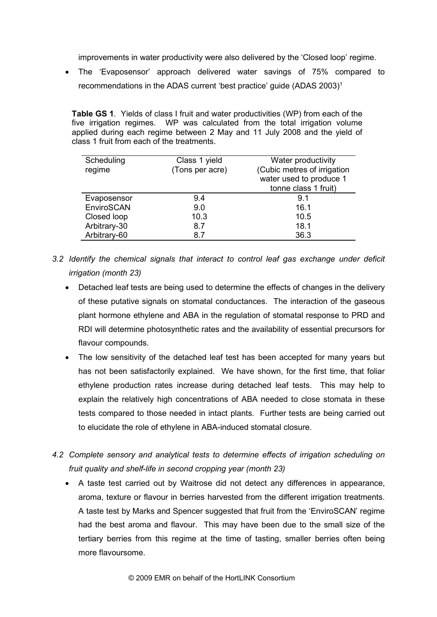improvements in water productivity were also delivered by the 'Closed loop' regime.

• The 'Evaposensor' approach delivered water savings of 75% compared to recommendations in the ADAS current 'best practice' guide (ADAS 2003)1

**Table GS 1**. Yields of class I fruit and water productivities (WP) from each of the five irrigation regimes. WP was calculated from the total irrigation volume applied during each regime between 2 May and 11 July 2008 and the yield of class 1 fruit from each of the treatments.

| Scheduling<br>regime | Class 1 yield<br>(Tons per acre) | Water productivity<br>(Cubic metres of irrigation<br>water used to produce 1<br>tonne class 1 fruit) |
|----------------------|----------------------------------|------------------------------------------------------------------------------------------------------|
| Evaposensor          | 9.4                              | 9.1                                                                                                  |
| EnviroSCAN           | 9.0                              | 16.1                                                                                                 |
| Closed loop          | 10.3                             | 10.5                                                                                                 |
| Arbitrary-30         | 8.7                              | 18.1                                                                                                 |
| Arbitrary-60         | 8.7                              | 36.3                                                                                                 |

- *3.2 Identify the chemical signals that interact to control leaf gas exchange under deficit irrigation (month 23)*
	- Detached leaf tests are being used to determine the effects of changes in the delivery of these putative signals on stomatal conductances. The interaction of the gaseous plant hormone ethylene and ABA in the regulation of stomatal response to PRD and RDI will determine photosynthetic rates and the availability of essential precursors for flavour compounds.
	- The low sensitivity of the detached leaf test has been accepted for many years but has not been satisfactorily explained. We have shown, for the first time, that foliar ethylene production rates increase during detached leaf tests. This may help to explain the relatively high concentrations of ABA needed to close stomata in these tests compared to those needed in intact plants. Further tests are being carried out to elucidate the role of ethylene in ABA-induced stomatal closure.
- *4.2 Complete sensory and analytical tests to determine effects of irrigation scheduling on fruit quality and shelf-life in second cropping year (month 23)*
	- A taste test carried out by Waitrose did not detect any differences in appearance, aroma, texture or flavour in berries harvested from the different irrigation treatments. A taste test by Marks and Spencer suggested that fruit from the 'EnviroSCAN' regime had the best aroma and flavour. This may have been due to the small size of the tertiary berries from this regime at the time of tasting, smaller berries often being more flavoursome.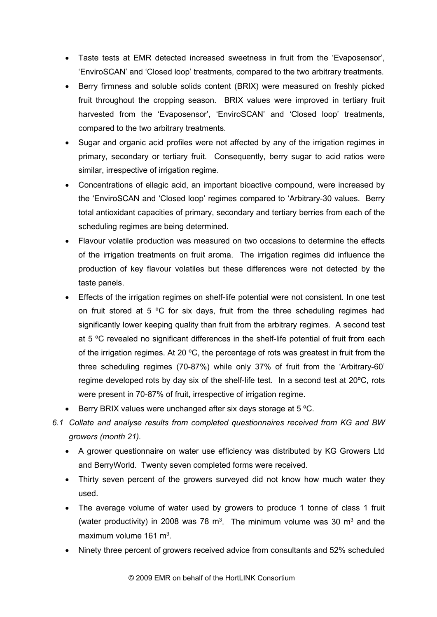- Taste tests at EMR detected increased sweetness in fruit from the 'Evaposensor', 'EnviroSCAN' and 'Closed loop' treatments, compared to the two arbitrary treatments.
- Berry firmness and soluble solids content (BRIX) were measured on freshly picked fruit throughout the cropping season. BRIX values were improved in tertiary fruit harvested from the 'Evaposensor', 'EnviroSCAN' and 'Closed loop' treatments, compared to the two arbitrary treatments.
- Sugar and organic acid profiles were not affected by any of the irrigation regimes in primary, secondary or tertiary fruit. Consequently, berry sugar to acid ratios were similar, irrespective of irrigation regime.
- Concentrations of ellagic acid, an important bioactive compound, were increased by the 'EnviroSCAN and 'Closed loop' regimes compared to 'Arbitrary-30 values. Berry total antioxidant capacities of primary, secondary and tertiary berries from each of the scheduling regimes are being determined.
- Flavour volatile production was measured on two occasions to determine the effects of the irrigation treatments on fruit aroma. The irrigation regimes did influence the production of key flavour volatiles but these differences were not detected by the taste panels.
- Effects of the irrigation regimes on shelf-life potential were not consistent. In one test on fruit stored at 5  $\degree$ C for six days, fruit from the three scheduling regimes had significantly lower keeping quality than fruit from the arbitrary regimes. A second test at 5 °C revealed no significant differences in the shelf-life potential of fruit from each of the irrigation regimes. At 20 ºC, the percentage of rots was greatest in fruit from the three scheduling regimes (70-87%) while only 37% of fruit from the 'Arbitrary-60' regime developed rots by day six of the shelf-life test. In a second test at 20ºC, rots were present in 70-87% of fruit, irrespective of irrigation regime.
- Berry BRIX values were unchanged after six days storage at 5 °C.
- *6.1 Collate and analyse results from completed questionnaires received from KG and BW growers (month 21).*
	- A grower questionnaire on water use efficiency was distributed by KG Growers Ltd and BerryWorld. Twenty seven completed forms were received.
	- Thirty seven percent of the growers surveyed did not know how much water they used.
	- The average volume of water used by growers to produce 1 tonne of class 1 fruit (water productivity) in 2008 was 78  $m<sup>3</sup>$ . The minimum volume was 30  $m<sup>3</sup>$  and the maximum volume  $161 \text{ m}^3$ .
	- Ninety three percent of growers received advice from consultants and 52% scheduled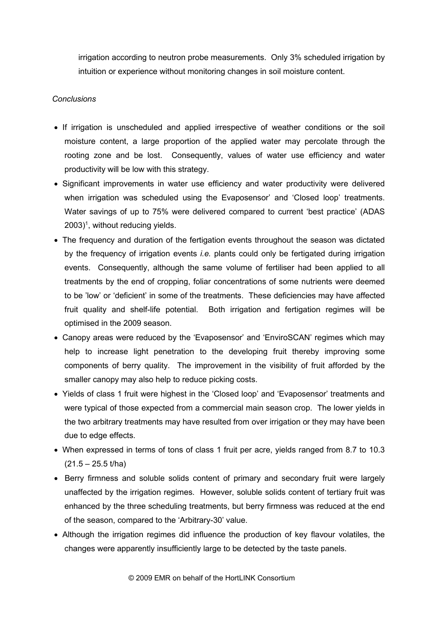irrigation according to neutron probe measurements. Only 3% scheduled irrigation by intuition or experience without monitoring changes in soil moisture content.

#### *Conclusions*

- If irrigation is unscheduled and applied irrespective of weather conditions or the soil moisture content, a large proportion of the applied water may percolate through the rooting zone and be lost. Consequently, values of water use efficiency and water productivity will be low with this strategy.
- Significant improvements in water use efficiency and water productivity were delivered when irrigation was scheduled using the Evaposensor' and 'Closed loop' treatments. Water savings of up to 75% were delivered compared to current 'best practice' (ADAS  $2003)^1$ , without reducing yields.
- The frequency and duration of the fertigation events throughout the season was dictated by the frequency of irrigation events *i.e.* plants could only be fertigated during irrigation events. Consequently, although the same volume of fertiliser had been applied to all treatments by the end of cropping, foliar concentrations of some nutrients were deemed to be 'low' or 'deficient' in some of the treatments. These deficiencies may have affected fruit quality and shelf-life potential. Both irrigation and fertigation regimes will be optimised in the 2009 season.
- Canopy areas were reduced by the 'Evaposensor' and 'EnviroSCAN' regimes which may help to increase light penetration to the developing fruit thereby improving some components of berry quality. The improvement in the visibility of fruit afforded by the smaller canopy may also help to reduce picking costs.
- Yields of class 1 fruit were highest in the 'Closed loop' and 'Evaposensor' treatments and were typical of those expected from a commercial main season crop. The lower yields in the two arbitrary treatments may have resulted from over irrigation or they may have been due to edge effects.
- When expressed in terms of tons of class 1 fruit per acre, yields ranged from 8.7 to 10.3  $(21.5 - 25.5 t/ha)$
- Berry firmness and soluble solids content of primary and secondary fruit were largely unaffected by the irrigation regimes. However, soluble solids content of tertiary fruit was enhanced by the three scheduling treatments, but berry firmness was reduced at the end of the season, compared to the 'Arbitrary-30' value.
- Although the irrigation regimes did influence the production of key flavour volatiles, the changes were apparently insufficiently large to be detected by the taste panels.